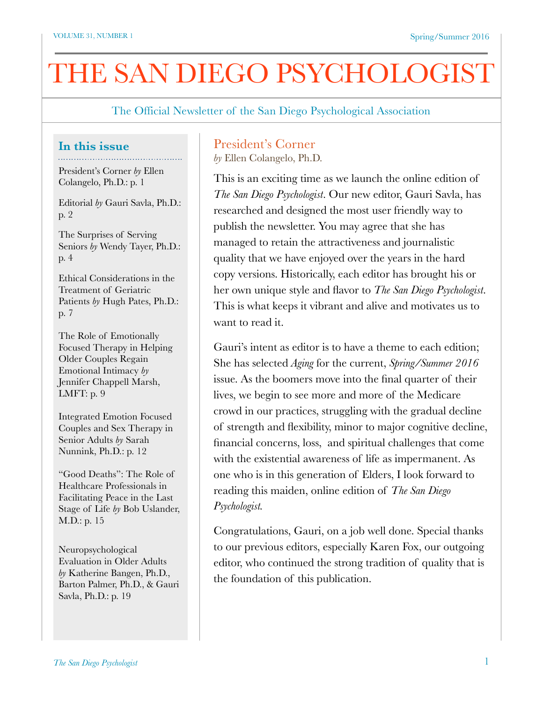The Official Newsletter of the San Diego Psychological Association

#### **In this issue**

President's Corner *by* Ellen Colangelo, Ph.D.: p. 1

Editorial *by* Gauri Savla, Ph.D.: p. 2

The Surprises of Serving Seniors *by* Wendy Tayer, Ph.D.: p. 4

Ethical Considerations in the Treatment of Geriatric Patients *by* Hugh Pates, Ph.D.: p. 7

The Role of Emotionally Focused Therapy in Helping Older Couples Regain Emotional Intimacy *by*  Jennifer Chappell Marsh, LMFT: p. 9

Integrated Emotion Focused Couples and Sex Therapy in Senior Adults *by* Sarah Nunnink, Ph.D.: p. 12

"Good Deaths": The Role of Healthcare Professionals in Facilitating Peace in the Last Stage of Life *by* Bob Uslander, M.D.: p. 15

Neuropsychological Evaluation in Older Adults *by* Katherine Bangen, Ph.D., Barton Palmer, Ph.D., & Gauri Savla, Ph.D.: p. 19

# President's Corner

*by* Ellen Colangelo, Ph.D.

This is an exciting time as we launch the online edition of *The San Diego Psychologist*. Our new editor, Gauri Savla, has researched and designed the most user friendly way to publish the newsletter. You may agree that she has managed to retain the attractiveness and journalistic quality that we have enjoyed over the years in the hard copy versions. Historically, each editor has brought his or her own unique style and flavor to *The San Diego Psychologist*. This is what keeps it vibrant and alive and motivates us to want to read it.

Gauri's intent as editor is to have a theme to each edition; She has selected *Aging* for the current, *Spring/Summer 2016* issue. As the boomers move into the final quarter of their lives, we begin to see more and more of the Medicare crowd in our practices, struggling with the gradual decline of strength and flexibility, minor to major cognitive decline, financial concerns, loss, and spiritual challenges that come with the existential awareness of life as impermanent. As one who is in this generation of Elders, I look forward to reading this maiden, online edition of *The San Diego Psychologist.* 

Congratulations, Gauri, on a job well done. Special thanks to our previous editors, especially Karen Fox, our outgoing editor, who continued the strong tradition of quality that is the foundation of this publication.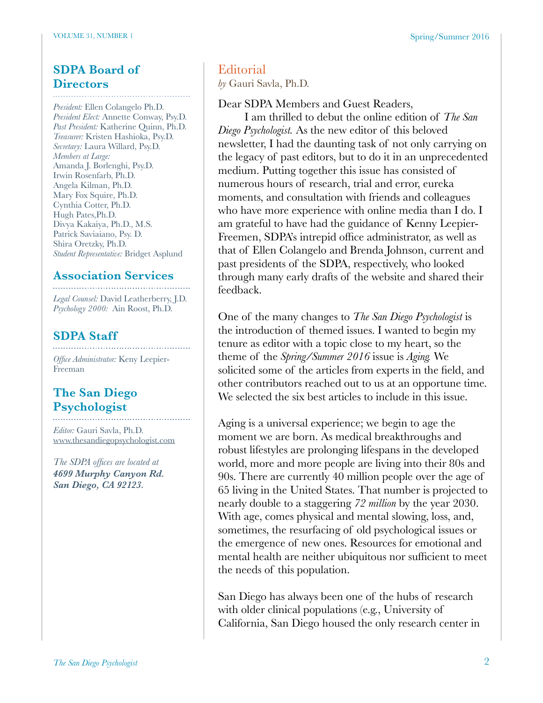## **SDPA Board of Directors**

*President:* Ellen Colangelo Ph.D. *President Elect:* Annette Conway, Psy.D. *Past President:* Katherine Quinn, Ph.D. *Treasurer:* Kristen Hashioka, Psy.D. *Secretary:* Laura Willard, Psy.D. *Members at Large:* Amanda J. Borlenghi, Psy.D. Irwin Rosenfarb, Ph.D. Angela Kilman, Ph.D. Mary Fox Squire, Ph.D. Cynthia Cotter, Ph.D. Hugh Pates,Ph.D. Divya Kakaiya, Ph.D., M.S. Patrick Saviaiano, Psy. D. Shira Oretzky, Ph.D. *Student Representative:* Bridget Asplund

## **Association Services**

*Legal Counsel:* David Leatherberry, J.D. *Psychology 2000:* Ain Roost, Ph.D.

#### **SDPA Staff**

*Office Administrator:* Keny Leepier-Freeman

## **The San Diego Psychologist**

*Editor:* Gauri Savla, Ph.D. [www.thesandiegopsychologist.com](http://www.thesandiegopsychologist.com)

*The SDPA offices are located at 4699 Murphy Canyon Rd. San Diego, CA 92123.* 

#### **Editorial**

*by* Gauri Savla, Ph.D.

Dear SDPA Members and Guest Readers,

I am thrilled to debut the online edition of *The San Diego Psychologist.* As the new editor of this beloved newsletter, I had the daunting task of not only carrying on the legacy of past editors, but to do it in an unprecedented medium. Putting together this issue has consisted of numerous hours of research, trial and error, eureka moments, and consultation with friends and colleagues who have more experience with online media than I do. I am grateful to have had the guidance of Kenny Leepier-Freemen, SDPA's intrepid office administrator, as well as that of Ellen Colangelo and Brenda Johnson, current and past presidents of the SDPA, respectively, who looked through many early drafts of the website and shared their feedback.

One of the many changes to *The San Diego Psychologist* is the introduction of themed issues. I wanted to begin my tenure as editor with a topic close to my heart, so the theme of the *Spring/Summer 2016* issue is *Aging.* We solicited some of the articles from experts in the field, and other contributors reached out to us at an opportune time. We selected the six best articles to include in this issue.

Aging is a universal experience; we begin to age the moment we are born. As medical breakthroughs and robust lifestyles are prolonging lifespans in the developed world, more and more people are living into their 80s and 90s. There are currently 40 million people over the age of 65 living in the United States. That number is projected to nearly double to a staggering *72 million* by the year 2030. With age, comes physical and mental slowing, loss, and, sometimes, the resurfacing of old psychological issues or the emergence of new ones. Resources for emotional and mental health are neither ubiquitous nor sufficient to meet the needs of this population.

San Diego has always been one of the hubs of research with older clinical populations (e.g., University of California, San Diego housed the only research center in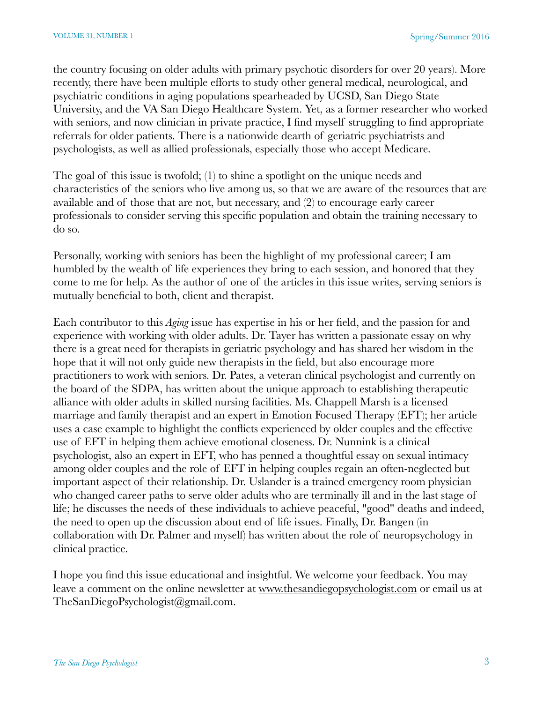the country focusing on older adults with primary psychotic disorders for over 20 years). More recently, there have been multiple efforts to study other general medical, neurological, and psychiatric conditions in aging populations spearheaded by UCSD, San Diego State University, and the VA San Diego Healthcare System. Yet, as a former researcher who worked with seniors, and now clinician in private practice, I find myself struggling to find appropriate referrals for older patients. There is a nationwide dearth of geriatric psychiatrists and psychologists, as well as allied professionals, especially those who accept Medicare.

The goal of this issue is twofold; (1) to shine a spotlight on the unique needs and characteristics of the seniors who live among us, so that we are aware of the resources that are available and of those that are not, but necessary, and (2) to encourage early career professionals to consider serving this specific population and obtain the training necessary to do so.

Personally, working with seniors has been the highlight of my professional career; I am humbled by the wealth of life experiences they bring to each session, and honored that they come to me for help. As the author of one of the articles in this issue writes, serving seniors is mutually beneficial to both, client and therapist.

Each contributor to this *Aging* issue has expertise in his or her field, and the passion for and experience with working with older adults. Dr. Tayer has written a passionate essay on why there is a great need for therapists in geriatric psychology and has shared her wisdom in the hope that it will not only guide new therapists in the field, but also encourage more practitioners to work with seniors. Dr. Pates, a veteran clinical psychologist and currently on the board of the SDPA, has written about the unique approach to establishing therapeutic alliance with older adults in skilled nursing facilities. Ms. Chappell Marsh is a licensed marriage and family therapist and an expert in Emotion Focused Therapy (EFT); her article uses a case example to highlight the conflicts experienced by older couples and the effective use of EFT in helping them achieve emotional closeness. Dr. Nunnink is a clinical psychologist, also an expert in EFT, who has penned a thoughtful essay on sexual intimacy among older couples and the role of EFT in helping couples regain an often-neglected but important aspect of their relationship. Dr. Uslander is a trained emergency room physician who changed career paths to serve older adults who are terminally ill and in the last stage of life; he discusses the needs of these individuals to achieve peaceful, "good" deaths and indeed, the need to open up the discussion about end of life issues. Finally, Dr. Bangen (in collaboration with Dr. Palmer and myself) has written about the role of neuropsychology in clinical practice.

I hope you find this issue educational and insightful. We welcome your feedback. You may leave a comment on the online newsletter at [www.thesandiegopsychologist.com](http://www.thesandiegopsychologist.com) or email us at TheSanDiegoPsychologist@gmail.com.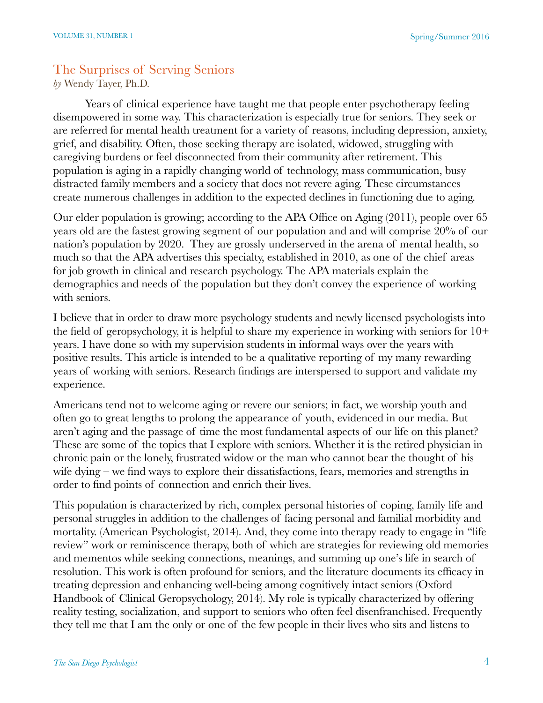## The Surprises of Serving Seniors

*by* Wendy Tayer, Ph.D.

Years of clinical experience have taught me that people enter psychotherapy feeling disempowered in some way. This characterization is especially true for seniors. They seek or are referred for mental health treatment for a variety of reasons, including depression, anxiety, grief, and disability. Often, those seeking therapy are isolated, widowed, struggling with caregiving burdens or feel disconnected from their community after retirement. This population is aging in a rapidly changing world of technology, mass communication, busy distracted family members and a society that does not revere aging. These circumstances create numerous challenges in addition to the expected declines in functioning due to aging.

Our elder population is growing; according to the APA Office on Aging (2011), people over 65 years old are the fastest growing segment of our population and and will comprise 20% of our nation's population by 2020. They are grossly underserved in the arena of mental health, so much so that the APA advertises this specialty, established in 2010, as one of the chief areas for job growth in clinical and research psychology. The APA materials explain the demographics and needs of the population but they don't convey the experience of working with seniors.

I believe that in order to draw more psychology students and newly licensed psychologists into the field of geropsychology, it is helpful to share my experience in working with seniors for 10+ years. I have done so with my supervision students in informal ways over the years with positive results. This article is intended to be a qualitative reporting of my many rewarding years of working with seniors. Research findings are interspersed to support and validate my experience.

Americans tend not to welcome aging or revere our seniors; in fact, we worship youth and often go to great lengths to prolong the appearance of youth, evidenced in our media. But aren't aging and the passage of time the most fundamental aspects of our life on this planet? These are some of the topics that I explore with seniors. Whether it is the retired physician in chronic pain or the lonely, frustrated widow or the man who cannot bear the thought of his wife dying – we find ways to explore their dissatisfactions, fears, memories and strengths in order to find points of connection and enrich their lives.

This population is characterized by rich, complex personal histories of coping, family life and personal struggles in addition to the challenges of facing personal and familial morbidity and mortality. (American Psychologist, 2014). And, they come into therapy ready to engage in "life review" work or reminiscence therapy, both of which are strategies for reviewing old memories and mementos while seeking connections, meanings, and summing up one's life in search of resolution. This work is often profound for seniors, and the literature documents its efficacy in treating depression and enhancing well-being among cognitively intact seniors (Oxford Handbook of Clinical Geropsychology, 2014). My role is typically characterized by offering reality testing, socialization, and support to seniors who often feel disenfranchised. Frequently they tell me that I am the only or one of the few people in their lives who sits and listens to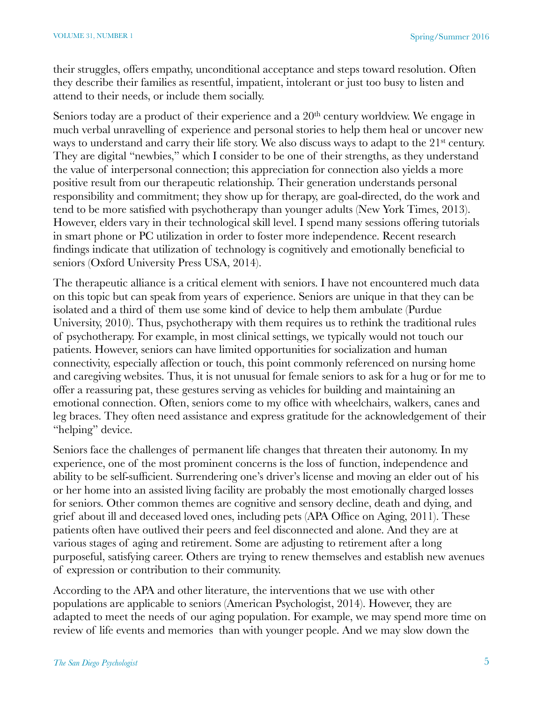their struggles, offers empathy, unconditional acceptance and steps toward resolution. Often they describe their families as resentful, impatient, intolerant or just too busy to listen and attend to their needs, or include them socially.

Seniors today are a product of their experience and a 20<sup>th</sup> century worldview. We engage in much verbal unravelling of experience and personal stories to help them heal or uncover new ways to understand and carry their life story. We also discuss ways to adapt to the 21<sup>st</sup> century. They are digital "newbies," which I consider to be one of their strengths, as they understand the value of interpersonal connection; this appreciation for connection also yields a more positive result from our therapeutic relationship. Their generation understands personal responsibility and commitment; they show up for therapy, are goal-directed, do the work and tend to be more satisfied with psychotherapy than younger adults (New York Times, 2013). However, elders vary in their technological skill level. I spend many sessions offering tutorials in smart phone or PC utilization in order to foster more independence. Recent research findings indicate that utilization of technology is cognitively and emotionally beneficial to seniors (Oxford University Press USA, 2014).

The therapeutic alliance is a critical element with seniors. I have not encountered much data on this topic but can speak from years of experience. Seniors are unique in that they can be isolated and a third of them use some kind of device to help them ambulate (Purdue University, 2010). Thus, psychotherapy with them requires us to rethink the traditional rules of psychotherapy. For example, in most clinical settings, we typically would not touch our patients. However, seniors can have limited opportunities for socialization and human connectivity, especially affection or touch, this point commonly referenced on nursing home and caregiving websites. Thus, it is not unusual for female seniors to ask for a hug or for me to offer a reassuring pat, these gestures serving as vehicles for building and maintaining an emotional connection. Often, seniors come to my office with wheelchairs, walkers, canes and leg braces. They often need assistance and express gratitude for the acknowledgement of their "helping" device.

Seniors face the challenges of permanent life changes that threaten their autonomy. In my experience, one of the most prominent concerns is the loss of function, independence and ability to be self-sufficient. Surrendering one's driver's license and moving an elder out of his or her home into an assisted living facility are probably the most emotionally charged losses for seniors. Other common themes are cognitive and sensory decline, death and dying, and grief about ill and deceased loved ones, including pets (APA Office on Aging, 2011). These patients often have outlived their peers and feel disconnected and alone. And they are at various stages of aging and retirement. Some are adjusting to retirement after a long purposeful, satisfying career. Others are trying to renew themselves and establish new avenues of expression or contribution to their community.

According to the APA and other literature, the interventions that we use with other populations are applicable to seniors (American Psychologist, 2014). However, they are adapted to meet the needs of our aging population. For example, we may spend more time on review of life events and memories than with younger people. And we may slow down the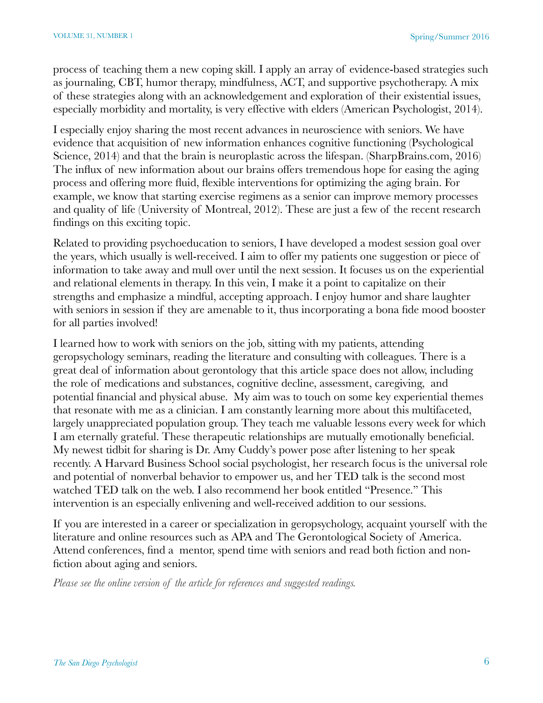process of teaching them a new coping skill. I apply an array of evidence-based strategies such as journaling, CBT, humor therapy, mindfulness, ACT, and supportive psychotherapy. A mix of these strategies along with an acknowledgement and exploration of their existential issues, especially morbidity and mortality, is very effective with elders (American Psychologist, 2014).

I especially enjoy sharing the most recent advances in neuroscience with seniors. We have evidence that acquisition of new information enhances cognitive functioning (Psychological Science, 2014) and that the brain is neuroplastic across the lifespan. (SharpBrains.com, 2016) The influx of new information about our brains offers tremendous hope for easing the aging process and offering more fluid, flexible interventions for optimizing the aging brain. For example, we know that starting exercise regimens as a senior can improve memory processes and quality of life (University of Montreal, 2012). These are just a few of the recent research findings on this exciting topic.

Related to providing psychoeducation to seniors, I have developed a modest session goal over the years, which usually is well-received. I aim to offer my patients one suggestion or piece of information to take away and mull over until the next session. It focuses us on the experiential and relational elements in therapy. In this vein, I make it a point to capitalize on their strengths and emphasize a mindful, accepting approach. I enjoy humor and share laughter with seniors in session if they are amenable to it, thus incorporating a bona fide mood booster for all parties involved!

I learned how to work with seniors on the job, sitting with my patients, attending geropsychology seminars, reading the literature and consulting with colleagues. There is a great deal of information about gerontology that this article space does not allow, including the role of medications and substances, cognitive decline, assessment, caregiving, and potential financial and physical abuse. My aim was to touch on some key experiential themes that resonate with me as a clinician. I am constantly learning more about this multifaceted, largely unappreciated population group. They teach me valuable lessons every week for which I am eternally grateful. These therapeutic relationships are mutually emotionally beneficial. My newest tidbit for sharing is Dr. Amy Cuddy's power pose after listening to her speak recently. A Harvard Business School social psychologist, her research focus is the universal role and potential of nonverbal behavior to empower us, and her TED talk is the second most watched TED talk on the web. I also recommend her book entitled "Presence." This intervention is an especially enlivening and well-received addition to our sessions.

If you are interested in a career or specialization in geropsychology, acquaint yourself with the literature and online resources such as APA and The Gerontological Society of America. Attend conferences, find a mentor, spend time with seniors and read both fiction and nonfiction about aging and seniors.

*Please see the online version of the article for references and suggested readings.*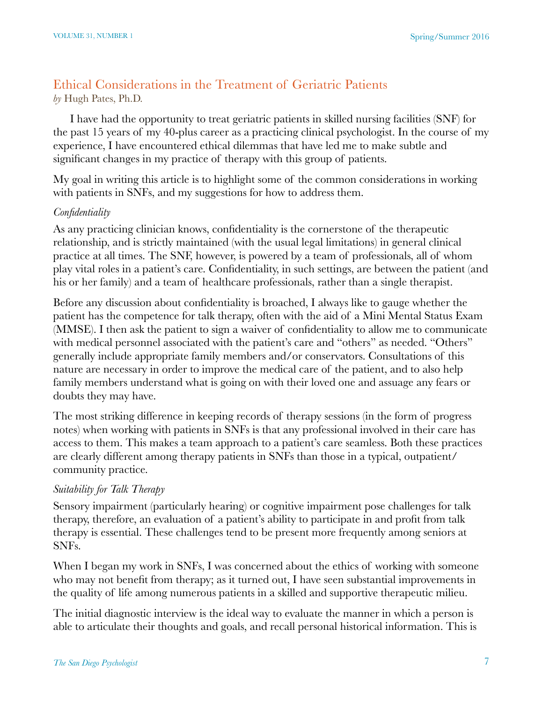## Ethical Considerations in the Treatment of Geriatric Patients *by* Hugh Pates, Ph.D.

significant changes in my practice of therapy with this group of patients.

# I have had the opportunity to treat geriatric patients in skilled nursing facilities (SNF) for the past 15 years of my 40-plus career as a practicing clinical psychologist. In the course of my experience, I have encountered ethical dilemmas that have led me to make subtle and

My goal in writing this article is to highlight some of the common considerations in working with patients in SNFs, and my suggestions for how to address them.

## *Confidentiality*

As any practicing clinician knows, confidentiality is the cornerstone of the therapeutic relationship, and is strictly maintained (with the usual legal limitations) in general clinical practice at all times. The SNF, however, is powered by a team of professionals, all of whom play vital roles in a patient's care. Confidentiality, in such settings, are between the patient (and his or her family) and a team of healthcare professionals, rather than a single therapist.

Before any discussion about confidentiality is broached, I always like to gauge whether the patient has the competence for talk therapy, often with the aid of a Mini Mental Status Exam (MMSE). I then ask the patient to sign a waiver of confidentiality to allow me to communicate with medical personnel associated with the patient's care and "others" as needed. "Others" generally include appropriate family members and/or conservators. Consultations of this nature are necessary in order to improve the medical care of the patient, and to also help family members understand what is going on with their loved one and assuage any fears or doubts they may have.

The most striking difference in keeping records of therapy sessions (in the form of progress notes) when working with patients in SNFs is that any professional involved in their care has access to them. This makes a team approach to a patient's care seamless. Both these practices are clearly different among therapy patients in SNFs than those in a typical, outpatient/ community practice.

## *Suitability for Talk Therapy*

Sensory impairment (particularly hearing) or cognitive impairment pose challenges for talk therapy, therefore, an evaluation of a patient's ability to participate in and profit from talk therapy is essential. These challenges tend to be present more frequently among seniors at SNFs.

When I began my work in SNFs, I was concerned about the ethics of working with someone who may not benefit from therapy; as it turned out, I have seen substantial improvements in the quality of life among numerous patients in a skilled and supportive therapeutic milieu.

The initial diagnostic interview is the ideal way to evaluate the manner in which a person is able to articulate their thoughts and goals, and recall personal historical information. This is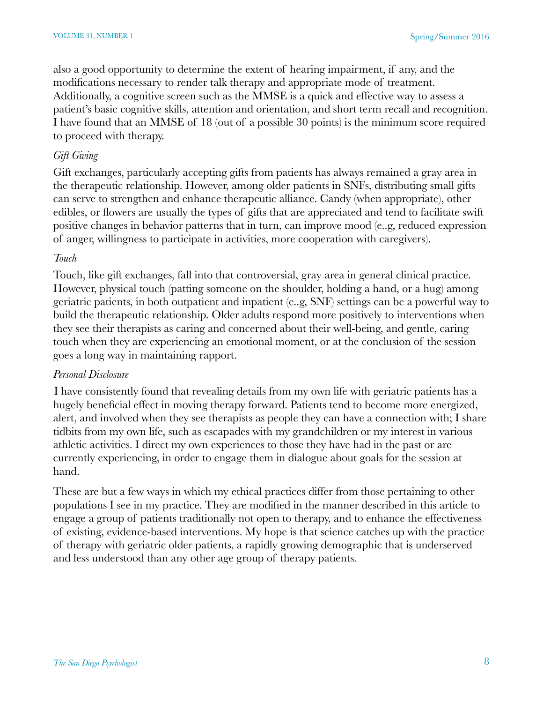also a good opportunity to determine the extent of hearing impairment, if any, and the modifications necessary to render talk therapy and appropriate mode of treatment. Additionally, a cognitive screen such as the MMSE is a quick and effective way to assess a patient's basic cognitive skills, attention and orientation, and short term recall and recognition. I have found that an MMSE of 18 (out of a possible 30 points) is the minimum score required to proceed with therapy.

#### *Gift Giving*

Gift exchanges, particularly accepting gifts from patients has always remained a gray area in the therapeutic relationship. However, among older patients in SNFs, distributing small gifts can serve to strengthen and enhance therapeutic alliance. Candy (when appropriate), other edibles, or flowers are usually the types of gifts that are appreciated and tend to facilitate swift positive changes in behavior patterns that in turn, can improve mood (e..g, reduced expression of anger, willingness to participate in activities, more cooperation with caregivers).

#### *Touch*

Touch, like gift exchanges, fall into that controversial, gray area in general clinical practice. However, physical touch (patting someone on the shoulder, holding a hand, or a hug) among geriatric patients, in both outpatient and inpatient (e..g, SNF) settings can be a powerful way to build the therapeutic relationship. Older adults respond more positively to interventions when they see their therapists as caring and concerned about their well-being, and gentle, caring touch when they are experiencing an emotional moment, or at the conclusion of the session goes a long way in maintaining rapport.

#### *Personal Disclosure*

I have consistently found that revealing details from my own life with geriatric patients has a hugely beneficial effect in moving therapy forward. Patients tend to become more energized, alert, and involved when they see therapists as people they can have a connection with; I share tidbits from my own life, such as escapades with my grandchildren or my interest in various athletic activities. I direct my own experiences to those they have had in the past or are currently experiencing, in order to engage them in dialogue about goals for the session at hand.

These are but a few ways in which my ethical practices differ from those pertaining to other populations I see in my practice. They are modified in the manner described in this article to engage a group of patients traditionally not open to therapy, and to enhance the effectiveness of existing, evidence-based interventions. My hope is that science catches up with the practice of therapy with geriatric older patients, a rapidly growing demographic that is underserved and less understood than any other age group of therapy patients.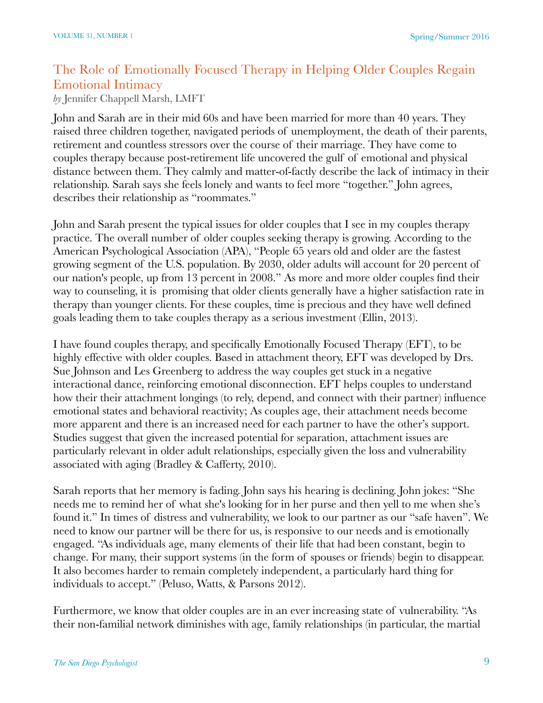# The Role of Emotionally Focused Therapy in Helping Older Couples Regain Emotional Intimacy

*by* Jennifer Chappell Marsh, LMFT

John and Sarah are in their mid 60s and have been married for more than 40 years. They raised three children together, navigated periods of unemployment, the death of their parents, retirement and countless stressors over the course of their marriage. They have come to couples therapy because post-retirement life uncovered the gulf of emotional and physical distance between them. They calmly and matter-of-factly describe the lack of intimacy in their relationship. Sarah says she feels lonely and wants to feel more "together." John agrees, describes their relationship as "roommates."

John and Sarah present the typical issues for older couples that I see in my couples therapy practice. The overall number of older couples seeking therapy is growing. According to the American Psychological Association (APA), "People 65 years old and older are the fastest growing segment of the U.S. population. By 2030, older adults will account for 20 percent of our nation's people, up from 13 percent in 2008." As more and more older couples find their way to counseling, it is promising that older clients generally have a higher satisfaction rate in therapy than younger clients. For these couples, time is precious and they have well defined goals leading them to take couples therapy as a serious investment (Ellin, 2013).

I have found couples therapy, and specifically Emotionally Focused Therapy (EFT), to be highly effective with older couples. Based in attachment theory, EFT was developed by Drs. Sue Johnson and Les Greenberg to address the way couples get stuck in a negative interactional dance, reinforcing emotional disconnection. EFT helps couples to understand how their their attachment longings (to rely, depend, and connect with their partner) influence emotional states and behavioral reactivity; As couples age, their attachment needs become more apparent and there is an increased need for each partner to have the other's support. Studies suggest that given the increased potential for separation, attachment issues are particularly relevant in older adult relationships, especially given the loss and vulnerability associated with aging (Bradley & Cafferty, 2010).

Sarah reports that her memory is fading. John says his hearing is declining. John jokes: "She needs me to remind her of what she's looking for in her purse and then yell to me when she's found it." In times of distress and vulnerability, we look to our partner as our "safe haven". We need to know our partner will be there for us, is responsive to our needs and is emotionally engaged. "As individuals age, many elements of their life that had been constant, begin to change. For many, their support systems (in the form of spouses or friends) begin to disappear. It also becomes harder to remain completely independent, a particularly hard thing for individuals to accept." (Peluso, Watts, & Parsons 2012).

Furthermore, we know that older couples are in an ever increasing state of vulnerability. "As their non-familial network diminishes with age, family relationships (in particular, the martial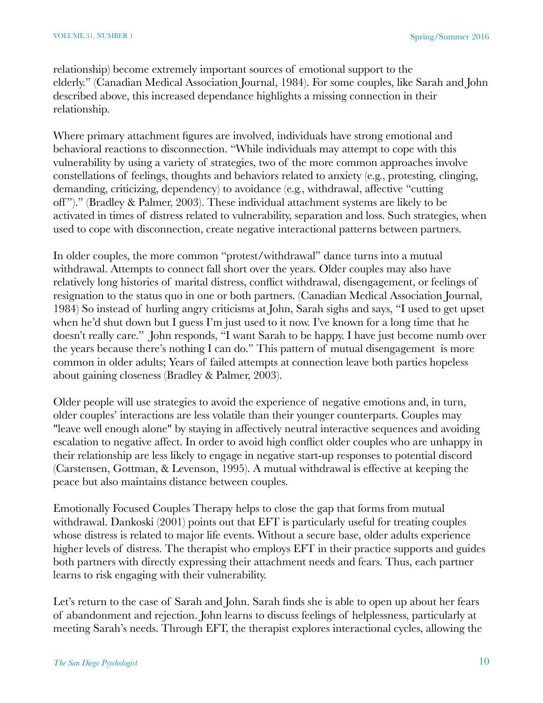relationship) become extremely important sources of emotional support to the elderly." (Canadian Medical Association Journal, 1984). For some couples, like Sarah and John described above, this increased dependance highlights a missing connection in their relationship.

Where primary attachment figures are involved, individuals have strong emotional and behavioral reactions to disconnection. "While individuals may attempt to cope with this vulnerability by using a variety of strategies, two of the more common approaches involve constellations of feelings, thoughts and behaviors related to anxiety (e.g., protesting, clinging, demanding, criticizing, dependency) to avoidance (e.g., withdrawal, affective "cutting off ")." (Bradley & Palmer, 2003). These individual attachment systems are likely to be activated in times of distress related to vulnerability, separation and loss. Such strategies, when used to cope with disconnection, create negative interactional patterns between partners.

In older couples, the more common "protest/withdrawal" dance turns into a mutual withdrawal. Attempts to connect fall short over the years. Older couples may also have relatively long histories of marital distress, conflict withdrawal, disengagement, or feelings of resignation to the status quo in one or both partners. (Canadian Medical Association Journal, 1984) So instead of hurling angry criticisms at John, Sarah sighs and says, "I used to get upset when he'd shut down but I guess I'm just used to it now. I've known for a long time that he doesn't really care." John responds, "I want Sarah to be happy. I have just become numb over the years because there's nothing I can do." This pattern of mutual disengagement is more common in older adults; Years of failed attempts at connection leave both parties hopeless about gaining closeness (Bradley & Palmer, 2003).

Older people will use strategies to avoid the experience of negative emotions and, in turn, older couples' interactions are less volatile than their younger counterparts. Couples may "leave well enough alone" by staying in affectively neutral interactive sequences and avoiding escalation to negative affect. In order to avoid high conflict older couples who are unhappy in their relationship are less likely to engage in negative start-up responses to potential discord (Carstensen, Gottman, & Levenson, 1995). A mutual withdrawal is effective at keeping the peace but also maintains distance between couples.

Emotionally Focused Couples Therapy helps to close the gap that forms from mutual withdrawal. Dankoski (2001) points out that EFT is particularly useful for treating couples whose distress is related to major life events. Without a secure base, older adults experience higher levels of distress. The therapist who employs EFT in their practice supports and guides both partners with directly expressing their attachment needs and fears. Thus, each partner learns to risk engaging with their vulnerability.

Let's return to the case of Sarah and John. Sarah finds she is able to open up about her fears of abandonment and rejection. John learns to discuss feelings of helplessness, particularly at meeting Sarah's needs. Through EFT, the therapist explores interactional cycles, allowing the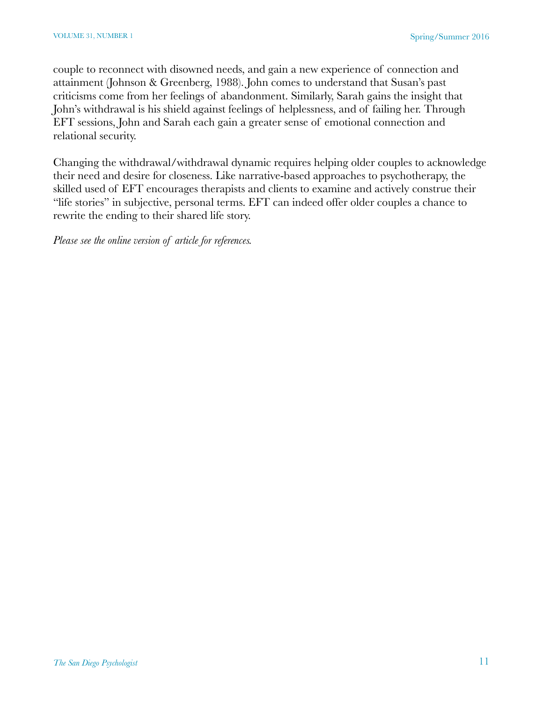couple to reconnect with disowned needs, and gain a new experience of connection and attainment (Johnson & Greenberg, 1988). John comes to understand that Susan's past criticisms come from her feelings of abandonment. Similarly, Sarah gains the insight that John's withdrawal is his shield against feelings of helplessness, and of failing her. Through EFT sessions, John and Sarah each gain a greater sense of emotional connection and relational security.

Changing the withdrawal/withdrawal dynamic requires helping older couples to acknowledge their need and desire for closeness. Like narrative-based approaches to psychotherapy, the skilled used of EFT encourages therapists and clients to examine and actively construe their "life stories" in subjective, personal terms. EFT can indeed offer older couples a chance to rewrite the ending to their shared life story.

*Please see the online version of article for references.*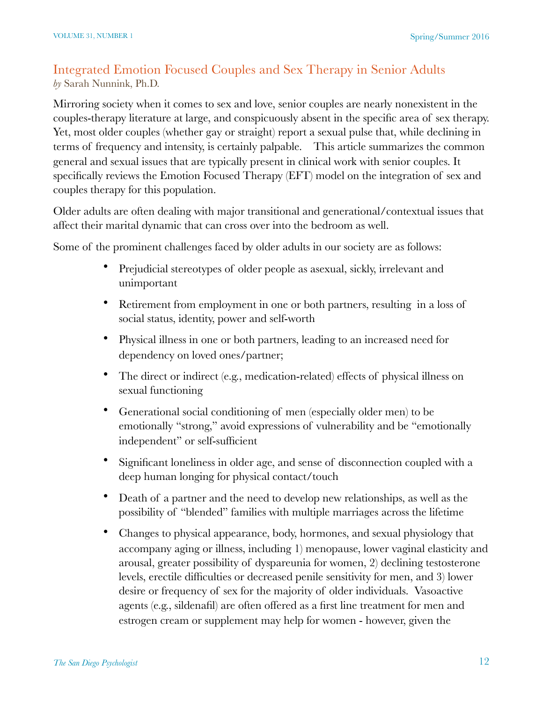## Integrated Emotion Focused Couples and Sex Therapy in Senior Adults *by* Sarah Nunnink, Ph.D.

Mirroring society when it comes to sex and love, senior couples are nearly nonexistent in the couples-therapy literature at large, and conspicuously absent in the specific area of sex therapy. Yet, most older couples (whether gay or straight) report a sexual pulse that, while declining in terms of frequency and intensity, is certainly palpable. This article summarizes the common general and sexual issues that are typically present in clinical work with senior couples. It specifically reviews the Emotion Focused Therapy (EFT) model on the integration of sex and couples therapy for this population.

Older adults are often dealing with major transitional and generational/contextual issues that affect their marital dynamic that can cross over into the bedroom as well.

Some of the prominent challenges faced by older adults in our society are as follows:

- Prejudicial stereotypes of older people as asexual, sickly, irrelevant and unimportant
- Retirement from employment in one or both partners, resulting in a loss of social status, identity, power and self-worth
- Physical illness in one or both partners, leading to an increased need for dependency on loved ones/partner;
- The direct or indirect (e.g., medication-related) effects of physical illness on sexual functioning
- Generational social conditioning of men (especially older men) to be emotionally "strong," avoid expressions of vulnerability and be "emotionally independent" or self-sufficient
- Significant loneliness in older age, and sense of disconnection coupled with a deep human longing for physical contact/touch
- Death of a partner and the need to develop new relationships, as well as the possibility of "blended" families with multiple marriages across the lifetime
- Changes to physical appearance, body, hormones, and sexual physiology that accompany aging or illness, including 1) menopause, lower vaginal elasticity and arousal, greater possibility of dyspareunia for women, 2) declining testosterone levels, erectile difficulties or decreased penile sensitivity for men, and 3) lower desire or frequency of sex for the majority of older individuals. Vasoactive agents (e.g., sildenafil) are often offered as a first line treatment for men and estrogen cream or supplement may help for women - however, given the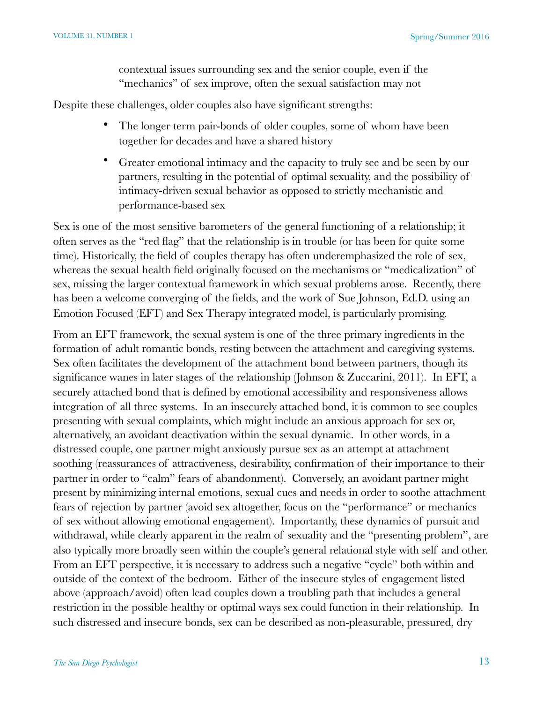contextual issues surrounding sex and the senior couple, even if the "mechanics" of sex improve, often the sexual satisfaction may not

Despite these challenges, older couples also have significant strengths:

- The longer term pair-bonds of older couples, some of whom have been together for decades and have a shared history
- Greater emotional intimacy and the capacity to truly see and be seen by our partners, resulting in the potential of optimal sexuality, and the possibility of intimacy-driven sexual behavior as opposed to strictly mechanistic and performance-based sex

Sex is one of the most sensitive barometers of the general functioning of a relationship; it often serves as the "red flag" that the relationship is in trouble (or has been for quite some time). Historically, the field of couples therapy has often underemphasized the role of sex, whereas the sexual health field originally focused on the mechanisms or "medicalization" of sex, missing the larger contextual framework in which sexual problems arose. Recently, there has been a welcome converging of the fields, and the work of Sue Johnson, Ed.D. using an Emotion Focused (EFT) and Sex Therapy integrated model, is particularly promising.

From an EFT framework, the sexual system is one of the three primary ingredients in the formation of adult romantic bonds, resting between the attachment and caregiving systems. Sex often facilitates the development of the attachment bond between partners, though its significance wanes in later stages of the relationship (Johnson & Zuccarini, 2011). In EFT, a securely attached bond that is defined by emotional accessibility and responsiveness allows integration of all three systems. In an insecurely attached bond, it is common to see couples presenting with sexual complaints, which might include an anxious approach for sex or, alternatively, an avoidant deactivation within the sexual dynamic. In other words, in a distressed couple, one partner might anxiously pursue sex as an attempt at attachment soothing (reassurances of attractiveness, desirability, confirmation of their importance to their partner in order to "calm" fears of abandonment). Conversely, an avoidant partner might present by minimizing internal emotions, sexual cues and needs in order to soothe attachment fears of rejection by partner (avoid sex altogether, focus on the "performance" or mechanics of sex without allowing emotional engagement). Importantly, these dynamics of pursuit and withdrawal, while clearly apparent in the realm of sexuality and the "presenting problem", are also typically more broadly seen within the couple's general relational style with self and other. From an EFT perspective, it is necessary to address such a negative "cycle" both within and outside of the context of the bedroom. Either of the insecure styles of engagement listed above (approach/avoid) often lead couples down a troubling path that includes a general restriction in the possible healthy or optimal ways sex could function in their relationship. In such distressed and insecure bonds, sex can be described as non-pleasurable, pressured, dry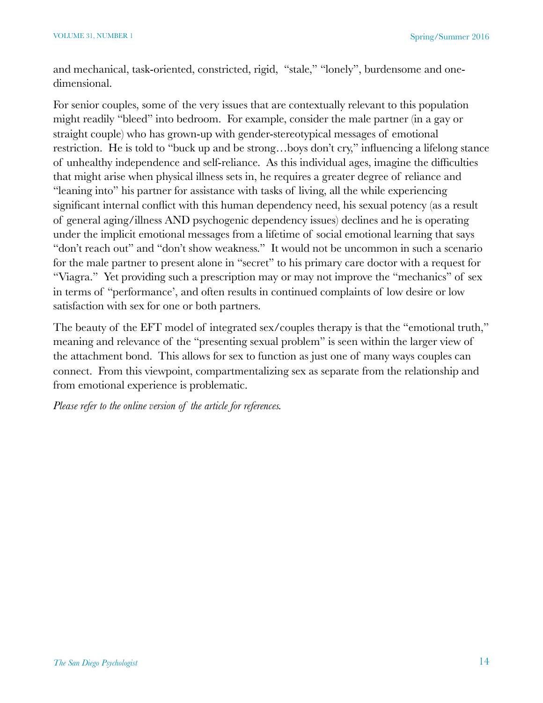and mechanical, task-oriented, constricted, rigid, "stale," "lonely", burdensome and onedimensional.

For senior couples, some of the very issues that are contextually relevant to this population might readily "bleed" into bedroom. For example, consider the male partner (in a gay or straight couple) who has grown-up with gender-stereotypical messages of emotional restriction. He is told to "buck up and be strong…boys don't cry," influencing a lifelong stance of unhealthy independence and self-reliance. As this individual ages, imagine the difficulties that might arise when physical illness sets in, he requires a greater degree of reliance and "leaning into" his partner for assistance with tasks of living, all the while experiencing significant internal conflict with this human dependency need, his sexual potency (as a result of general aging/illness AND psychogenic dependency issues) declines and he is operating under the implicit emotional messages from a lifetime of social emotional learning that says "don't reach out" and "don't show weakness." It would not be uncommon in such a scenario for the male partner to present alone in "secret" to his primary care doctor with a request for "Viagra." Yet providing such a prescription may or may not improve the "mechanics" of sex in terms of "performance', and often results in continued complaints of low desire or low satisfaction with sex for one or both partners.

The beauty of the EFT model of integrated sex/couples therapy is that the "emotional truth," meaning and relevance of the "presenting sexual problem" is seen within the larger view of the attachment bond. This allows for sex to function as just one of many ways couples can connect. From this viewpoint, compartmentalizing sex as separate from the relationship and from emotional experience is problematic.

*Please refer to the online version of the article for references.*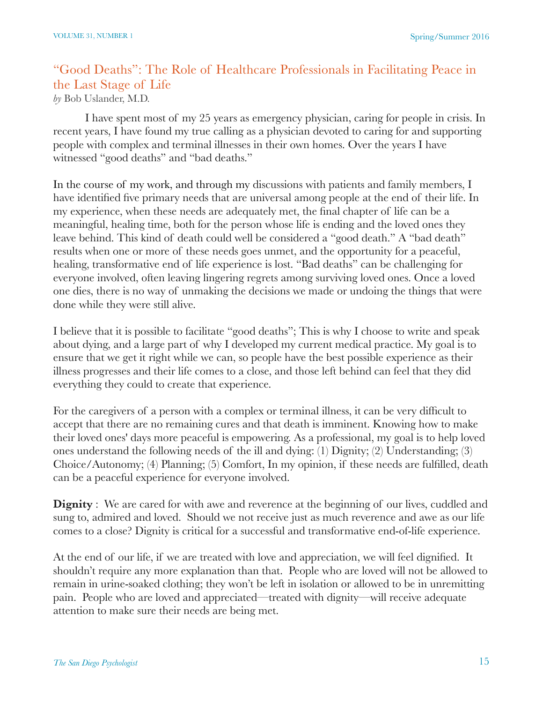# "Good Deaths": The Role of Healthcare Professionals in Facilitating Peace in the Last Stage of Life

*by* Bob Uslander, M.D.

I have spent most of my 25 years as emergency physician, caring for people in crisis. In recent years, I have found my true calling as a physician devoted to caring for and supporting people with complex and terminal illnesses in their own homes. Over the years I have witnessed "good deaths" and "bad deaths."

In the course of my work, and through my discussions with patients and family members, I have identified five primary needs that are universal among people at the end of their life. In my experience, when these needs are adequately met, the final chapter of life can be a meaningful, healing time, both for the person whose life is ending and the loved ones they leave behind. This kind of death could well be considered a "good death." A "bad death" results when one or more of these needs goes unmet, and the opportunity for a peaceful, healing, transformative end of life experience is lost. "Bad deaths" can be challenging for everyone involved, often leaving lingering regrets among surviving loved ones. Once a loved one dies, there is no way of unmaking the decisions we made or undoing the things that were done while they were still alive.

I believe that it is possible to facilitate "good deaths"; This is why I choose to write and speak about dying, and a large part of why I developed my current medical practice. My goal is to ensure that we get it right while we can, so people have the best possible experience as their illness progresses and their life comes to a close, and those left behind can feel that they did everything they could to create that experience.

For the caregivers of a person with a complex or terminal illness, it can be very difficult to accept that there are no remaining cures and that death is imminent. Knowing how to make their loved ones' days more peaceful is empowering. As a professional, my goal is to help loved ones understand the following needs of the ill and dying: (1) Dignity; (2) Understanding; (3) Choice/Autonomy; (4) Planning; (5) Comfort, In my opinion, if these needs are fulfilled, death can be a peaceful experience for everyone involved.

**Dignity** : We are cared for with awe and reverence at the beginning of our lives, cuddled and sung to, admired and loved. Should we not receive just as much reverence and awe as our life comes to a close? Dignity is critical for a successful and transformative end-of-life experience.

At the end of our life, if we are treated with love and appreciation, we will feel dignified. It shouldn't require any more explanation than that. People who are loved will not be allowed to remain in urine-soaked clothing; they won't be left in isolation or allowed to be in unremitting pain. People who are loved and appreciated—treated with dignity—will receive adequate attention to make sure their needs are being met.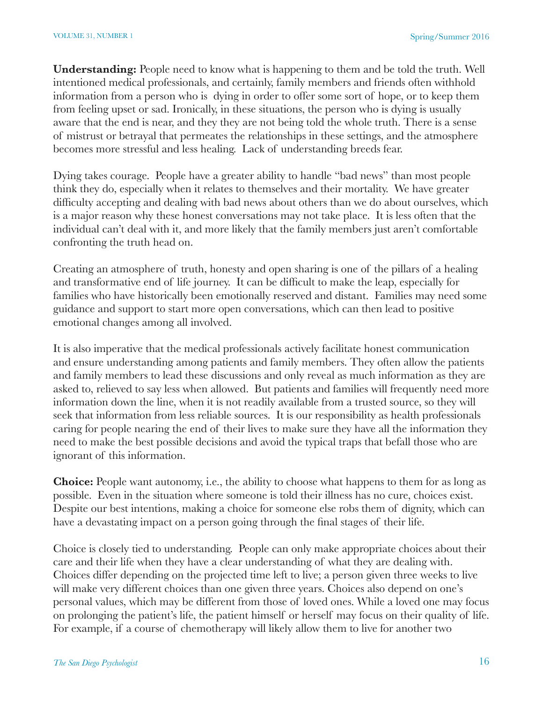**Understanding:** People need to know what is happening to them and be told the truth. Well intentioned medical professionals, and certainly, family members and friends often withhold information from a person who is dying in order to offer some sort of hope, or to keep them from feeling upset or sad. Ironically, in these situations, the person who is dying is usually aware that the end is near, and they they are not being told the whole truth. There is a sense of mistrust or betrayal that permeates the relationships in these settings, and the atmosphere becomes more stressful and less healing. Lack of understanding breeds fear.

Dying takes courage. People have a greater ability to handle "bad news" than most people think they do, especially when it relates to themselves and their mortality. We have greater difficulty accepting and dealing with bad news about others than we do about ourselves, which is a major reason why these honest conversations may not take place. It is less often that the individual can't deal with it, and more likely that the family members just aren't comfortable confronting the truth head on.

Creating an atmosphere of truth, honesty and open sharing is one of the pillars of a healing and transformative end of life journey. It can be difficult to make the leap, especially for families who have historically been emotionally reserved and distant. Families may need some guidance and support to start more open conversations, which can then lead to positive emotional changes among all involved.

It is also imperative that the medical professionals actively facilitate honest communication and ensure understanding among patients and family members. They often allow the patients and family members to lead these discussions and only reveal as much information as they are asked to, relieved to say less when allowed. But patients and families will frequently need more information down the line, when it is not readily available from a trusted source, so they will seek that information from less reliable sources. It is our responsibility as health professionals caring for people nearing the end of their lives to make sure they have all the information they need to make the best possible decisions and avoid the typical traps that befall those who are ignorant of this information.

**Choice:** People want autonomy, i.e., the ability to choose what happens to them for as long as possible. Even in the situation where someone is told their illness has no cure, choices exist. Despite our best intentions, making a choice for someone else robs them of dignity, which can have a devastating impact on a person going through the final stages of their life.

Choice is closely tied to understanding. People can only make appropriate choices about their care and their life when they have a clear understanding of what they are dealing with. Choices differ depending on the projected time left to live; a person given three weeks to live will make very different choices than one given three years. Choices also depend on one's personal values, which may be different from those of loved ones. While a loved one may focus on prolonging the patient's life, the patient himself or herself may focus on their quality of life. For example, if a course of chemotherapy will likely allow them to live for another two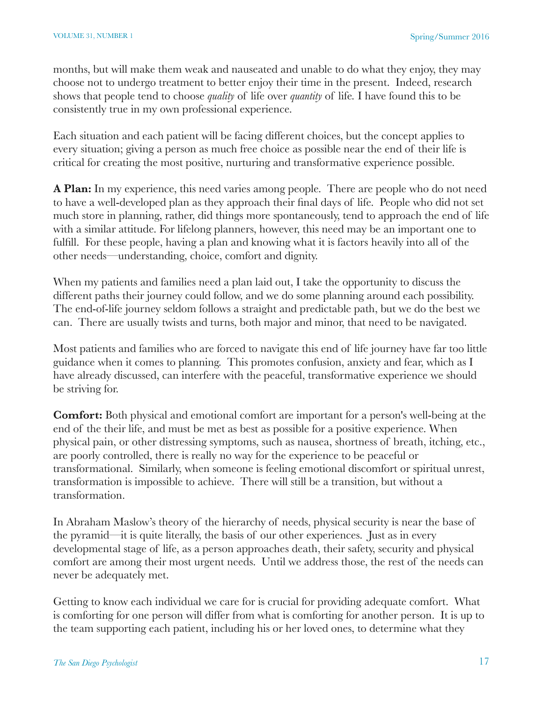months, but will make them weak and nauseated and unable to do what they enjoy, they may choose not to undergo treatment to better enjoy their time in the present. Indeed, research shows that people tend to choose *quality* of life over *quantity* of life*.* I have found this to be consistently true in my own professional experience.

Each situation and each patient will be facing different choices, but the concept applies to every situation; giving a person as much free choice as possible near the end of their life is critical for creating the most positive, nurturing and transformative experience possible.

**A Plan:** In my experience, this need varies among people. There are people who do not need to have a well-developed plan as they approach their final days of life. People who did not set much store in planning, rather, did things more spontaneously, tend to approach the end of life with a similar attitude. For lifelong planners, however, this need may be an important one to fulfill. For these people, having a plan and knowing what it is factors heavily into all of the other needs—understanding, choice, comfort and dignity.

When my patients and families need a plan laid out, I take the opportunity to discuss the different paths their journey could follow, and we do some planning around each possibility. The end-of-life journey seldom follows a straight and predictable path, but we do the best we can. There are usually twists and turns, both major and minor, that need to be navigated.

Most patients and families who are forced to navigate this end of life journey have far too little guidance when it comes to planning. This promotes confusion, anxiety and fear, which as I have already discussed, can interfere with the peaceful, transformative experience we should be striving for.

**Comfort:** Both physical and emotional comfort are important for a person's well-being at the end of the their life, and must be met as best as possible for a positive experience. When physical pain, or other distressing symptoms, such as nausea, shortness of breath, itching, etc., are poorly controlled, there is really no way for the experience to be peaceful or transformational. Similarly, when someone is feeling emotional discomfort or spiritual unrest, transformation is impossible to achieve. There will still be a transition, but without a transformation.

In Abraham Maslow's theory of the hierarchy of needs, physical security is near the base of the pyramid—it is quite literally, the basis of our other experiences. Just as in every developmental stage of life, as a person approaches death, their safety, security and physical comfort are among their most urgent needs. Until we address those, the rest of the needs can never be adequately met.

Getting to know each individual we care for is crucial for providing adequate comfort. What is comforting for one person will differ from what is comforting for another person. It is up to the team supporting each patient, including his or her loved ones, to determine what they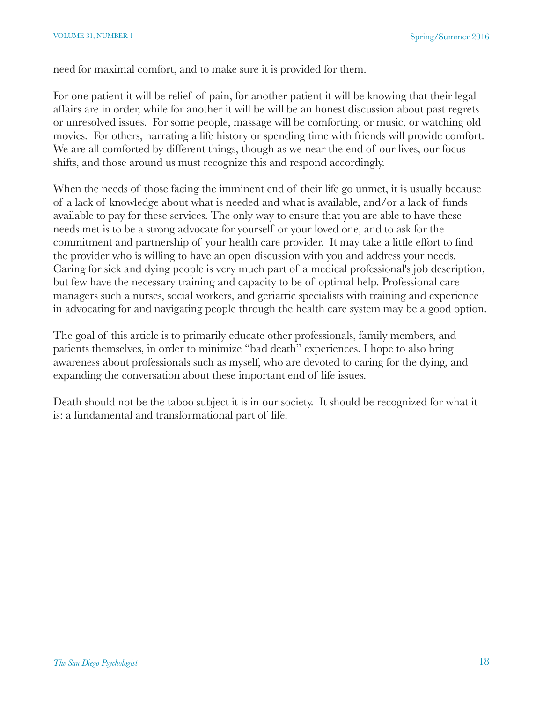need for maximal comfort, and to make sure it is provided for them.

For one patient it will be relief of pain, for another patient it will be knowing that their legal affairs are in order, while for another it will be will be an honest discussion about past regrets or unresolved issues. For some people, massage will be comforting, or music, or watching old movies. For others, narrating a life history or spending time with friends will provide comfort. We are all comforted by different things, though as we near the end of our lives, our focus shifts, and those around us must recognize this and respond accordingly.

When the needs of those facing the imminent end of their life go unmet, it is usually because of a lack of knowledge about what is needed and what is available, and/or a lack of funds available to pay for these services. The only way to ensure that you are able to have these needs met is to be a strong advocate for yourself or your loved one, and to ask for the commitment and partnership of your health care provider. It may take a little effort to find the provider who is willing to have an open discussion with you and address your needs. Caring for sick and dying people is very much part of a medical professional's job description, but few have the necessary training and capacity to be of optimal help. Professional care managers such a nurses, social workers, and geriatric specialists with training and experience in advocating for and navigating people through the health care system may be a good option.

The goal of this article is to primarily educate other professionals, family members, and patients themselves, in order to minimize "bad death" experiences. I hope to also bring awareness about professionals such as myself, who are devoted to caring for the dying, and expanding the conversation about these important end of life issues.

Death should not be the taboo subject it is in our society. It should be recognized for what it is: a fundamental and transformational part of life.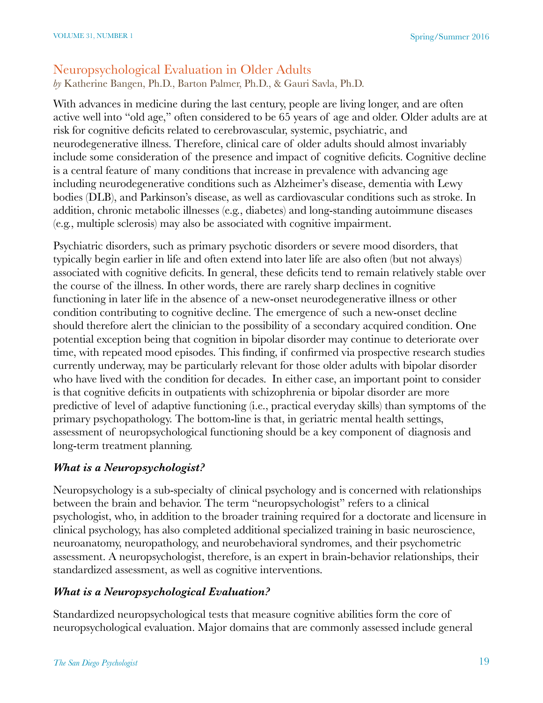## Neuropsychological Evaluation in Older Adults

*by* Katherine Bangen, Ph.D., Barton Palmer, Ph.D., & Gauri Savla, Ph.D.

With advances in medicine during the last century, people are living longer, and are often active well into "old age," often considered to be 65 years of age and older. Older adults are at risk for cognitive deficits related to cerebrovascular, systemic, psychiatric, and neurodegenerative illness. Therefore, clinical care of older adults should almost invariably include some consideration of the presence and impact of cognitive deficits. Cognitive decline is a central feature of many conditions that increase in prevalence with advancing age including neurodegenerative conditions such as Alzheimer's disease, dementia with Lewy bodies (DLB), and Parkinson's disease, as well as cardiovascular conditions such as stroke. In addition, chronic metabolic illnesses (e.g., diabetes) and long-standing autoimmune diseases (e.g., multiple sclerosis) may also be associated with cognitive impairment.

Psychiatric disorders, such as primary psychotic disorders or severe mood disorders, that typically begin earlier in life and often extend into later life are also often (but not always) associated with cognitive deficits. In general, these deficits tend to remain relatively stable over the course of the illness. In other words, there are rarely sharp declines in cognitive functioning in later life in the absence of a new-onset neurodegenerative illness or other condition contributing to cognitive decline. The emergence of such a new-onset decline should therefore alert the clinician to the possibility of a secondary acquired condition. One potential exception being that cognition in bipolar disorder may continue to deteriorate over time, with repeated mood episodes. This finding, if confirmed via prospective research studies currently underway, may be particularly relevant for those older adults with bipolar disorder who have lived with the condition for decades. In either case, an important point to consider is that cognitive deficits in outpatients with schizophrenia or bipolar disorder are more predictive of level of adaptive functioning (i.e., practical everyday skills) than symptoms of the primary psychopathology. The bottom-line is that, in geriatric mental health settings, assessment of neuropsychological functioning should be a key component of diagnosis and long-term treatment planning.

## *What is a Neuropsychologist?*

Neuropsychology is a sub-specialty of clinical psychology and is concerned with relationships between the brain and behavior. The term "neuropsychologist" refers to a clinical psychologist, who, in addition to the broader training required for a doctorate and licensure in clinical psychology, has also completed additional specialized training in basic neuroscience, neuroanatomy, neuropathology, and neurobehavioral syndromes, and their psychometric assessment. A neuropsychologist, therefore, is an expert in brain-behavior relationships, their standardized assessment, as well as cognitive interventions.

## *What is a Neuropsychological Evaluation?*

Standardized neuropsychological tests that measure cognitive abilities form the core of neuropsychological evaluation. Major domains that are commonly assessed include general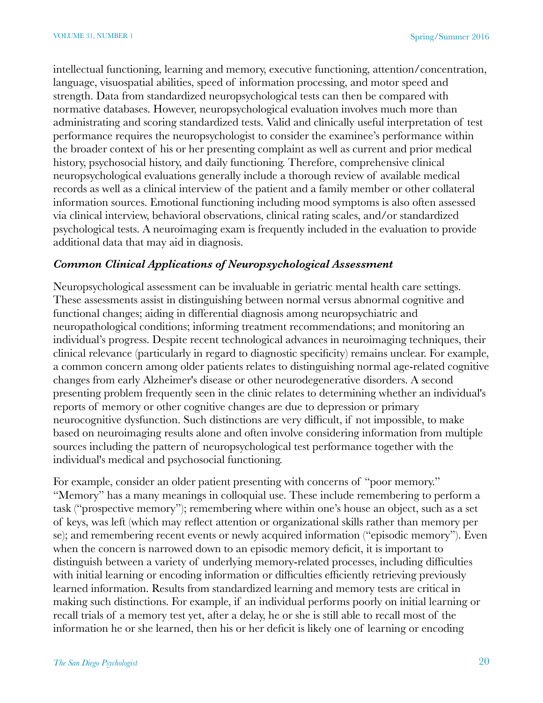intellectual functioning, learning and memory, executive functioning, attention/concentration, language, visuospatial abilities, speed of information processing, and motor speed and strength. Data from standardized neuropsychological tests can then be compared with normative databases. However, neuropsychological evaluation involves much more than administrating and scoring standardized tests. Valid and clinically useful interpretation of test performance requires the neuropsychologist to consider the examinee's performance within the broader context of his or her presenting complaint as well as current and prior medical history, psychosocial history, and daily functioning. Therefore, comprehensive clinical neuropsychological evaluations generally include a thorough review of available medical records as well as a clinical interview of the patient and a family member or other collateral information sources. Emotional functioning including mood symptoms is also often assessed via clinical interview, behavioral observations, clinical rating scales, and/or standardized psychological tests. A neuroimaging exam is frequently included in the evaluation to provide additional data that may aid in diagnosis.

#### *Common Clinical Applications of Neuropsychological Assessment*

Neuropsychological assessment can be invaluable in geriatric mental health care settings. These assessments assist in distinguishing between normal versus abnormal cognitive and functional changes; aiding in differential diagnosis among neuropsychiatric and neuropathological conditions; informing treatment recommendations; and monitoring an individual's progress. Despite recent technological advances in neuroimaging techniques, their clinical relevance (particularly in regard to diagnostic specificity) remains unclear. For example, a common concern among older patients relates to distinguishing normal age-related cognitive changes from early Alzheimer's disease or other neurodegenerative disorders. A second presenting problem frequently seen in the clinic relates to determining whether an individual's reports of memory or other cognitive changes are due to depression or primary neurocognitive dysfunction. Such distinctions are very difficult, if not impossible, to make based on neuroimaging results alone and often involve considering information from multiple sources including the pattern of neuropsychological test performance together with the individual's medical and psychosocial functioning.

For example, consider an older patient presenting with concerns of "poor memory." "Memory" has a many meanings in colloquial use. These include remembering to perform a task ("prospective memory"); remembering where within one's house an object, such as a set of keys, was left (which may reflect attention or organizational skills rather than memory per se); and remembering recent events or newly acquired information ("episodic memory"). Even when the concern is narrowed down to an episodic memory deficit, it is important to distinguish between a variety of underlying memory-related processes, including difficulties with initial learning or encoding information or difficulties efficiently retrieving previously learned information. Results from standardized learning and memory tests are critical in making such distinctions. For example, if an individual performs poorly on initial learning or recall trials of a memory test yet, after a delay, he or she is still able to recall most of the information he or she learned, then his or her deficit is likely one of learning or encoding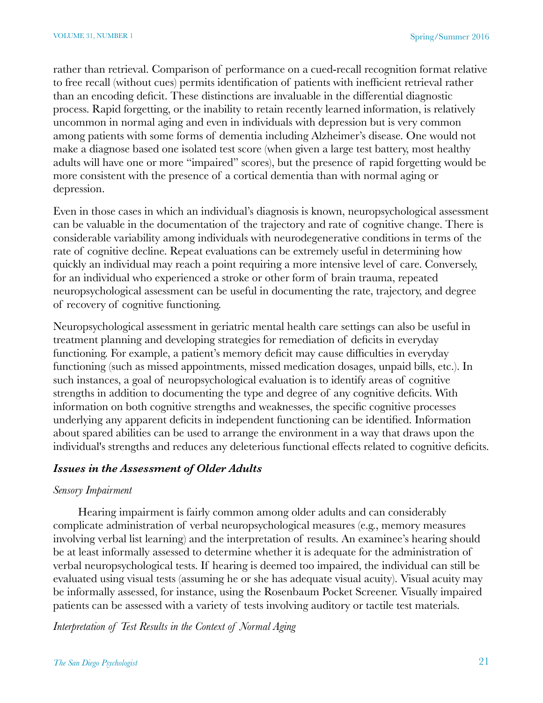rather than retrieval. Comparison of performance on a cued-recall recognition format relative to free recall (without cues) permits identification of patients with inefficient retrieval rather than an encoding deficit. These distinctions are invaluable in the differential diagnostic process. Rapid forgetting, or the inability to retain recently learned information, is relatively uncommon in normal aging and even in individuals with depression but is very common among patients with some forms of dementia including Alzheimer's disease. One would not make a diagnose based one isolated test score (when given a large test battery, most healthy adults will have one or more "impaired" scores), but the presence of rapid forgetting would be more consistent with the presence of a cortical dementia than with normal aging or depression.

Even in those cases in which an individual's diagnosis is known, neuropsychological assessment can be valuable in the documentation of the trajectory and rate of cognitive change. There is considerable variability among individuals with neurodegenerative conditions in terms of the rate of cognitive decline. Repeat evaluations can be extremely useful in determining how quickly an individual may reach a point requiring a more intensive level of care. Conversely, for an individual who experienced a stroke or other form of brain trauma, repeated neuropsychological assessment can be useful in documenting the rate, trajectory, and degree of recovery of cognitive functioning.

Neuropsychological assessment in geriatric mental health care settings can also be useful in treatment planning and developing strategies for remediation of deficits in everyday functioning. For example, a patient's memory deficit may cause difficulties in everyday functioning (such as missed appointments, missed medication dosages, unpaid bills, etc.). In such instances, a goal of neuropsychological evaluation is to identify areas of cognitive strengths in addition to documenting the type and degree of any cognitive deficits. With information on both cognitive strengths and weaknesses, the specific cognitive processes underlying any apparent deficits in independent functioning can be identified. Information about spared abilities can be used to arrange the environment in a way that draws upon the individual's strengths and reduces any deleterious functional effects related to cognitive deficits.

#### *Issues in the Assessment of Older Adults*

#### *Sensory Impairment*

Hearing impairment is fairly common among older adults and can considerably complicate administration of verbal neuropsychological measures (e.g., memory measures involving verbal list learning) and the interpretation of results. An examinee's hearing should be at least informally assessed to determine whether it is adequate for the administration of verbal neuropsychological tests. If hearing is deemed too impaired, the individual can still be evaluated using visual tests (assuming he or she has adequate visual acuity). Visual acuity may be informally assessed, for instance, using the Rosenbaum Pocket Screener. Visually impaired patients can be assessed with a variety of tests involving auditory or tactile test materials.

*Interpretation of Test Results in the Context of Normal Aging*